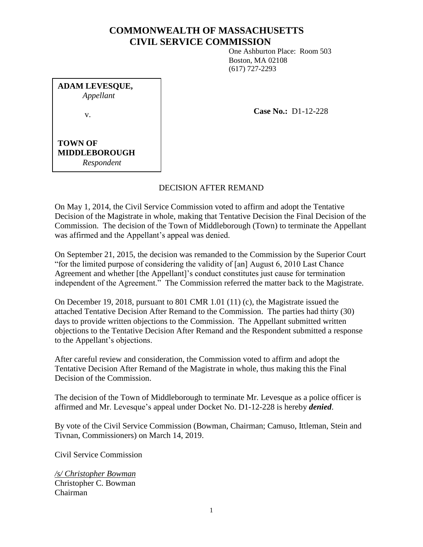# **COMMONWEALTH OF MASSACHUSETTS CIVIL SERVICE COMMISSION**

One Ashburton Place: Room 503 Boston, MA 02108 (617) 727-2293

**ADAM LEVESQUE,** *Appellant* v.

**Case No.:** D1-12-228

**TOWN OF MIDDLEBOROUGH** *Respondent*

# DECISION AFTER REMAND

On May 1, 2014, the Civil Service Commission voted to affirm and adopt the Tentative Decision of the Magistrate in whole, making that Tentative Decision the Final Decision of the Commission. The decision of the Town of Middleborough (Town) to terminate the Appellant was affirmed and the Appellant's appeal was denied.

On September 21, 2015, the decision was remanded to the Commission by the Superior Court "for the limited purpose of considering the validity of [an] August 6, 2010 Last Chance Agreement and whether [the Appellant]'s conduct constitutes just cause for termination independent of the Agreement." The Commission referred the matter back to the Magistrate.

On December 19, 2018, pursuant to 801 CMR 1.01 (11) (c), the Magistrate issued the attached Tentative Decision After Remand to the Commission. The parties had thirty (30) days to provide written objections to the Commission. The Appellant submitted written objections to the Tentative Decision After Remand and the Respondent submitted a response to the Appellant's objections.

After careful review and consideration, the Commission voted to affirm and adopt the Tentative Decision After Remand of the Magistrate in whole, thus making this the Final Decision of the Commission.

The decision of the Town of Middleborough to terminate Mr. Levesque as a police officer is affirmed and Mr. Levesque's appeal under Docket No. D1-12-228 is hereby *denied*.

By vote of the Civil Service Commission (Bowman, Chairman; Camuso, Ittleman, Stein and Tivnan, Commissioners) on March 14, 2019.

Civil Service Commission

*/s/ Christopher Bowman* Christopher C. Bowman Chairman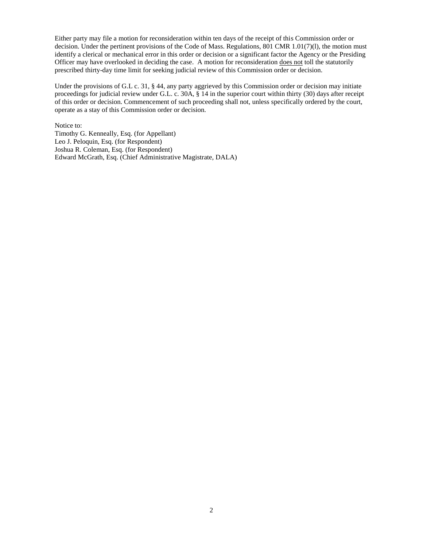Either party may file a motion for reconsideration within ten days of the receipt of this Commission order or decision. Under the pertinent provisions of the Code of Mass. Regulations, 801 CMR 1.01(7)(l), the motion must identify a clerical or mechanical error in this order or decision or a significant factor the Agency or the Presiding Officer may have overlooked in deciding the case. A motion for reconsideration does not toll the statutorily prescribed thirty-day time limit for seeking judicial review of this Commission order or decision.

Under the provisions of G.L c. 31, § 44, any party aggrieved by this Commission order or decision may initiate proceedings for judicial review under G.L. c. 30A, § 14 in the superior court within thirty (30) days after receipt of this order or decision. Commencement of such proceeding shall not, unless specifically ordered by the court, operate as a stay of this Commission order or decision.

Notice to: Timothy G. Kenneally, Esq. (for Appellant) Leo J. Peloquin, Esq. (for Respondent) Joshua R. Coleman, Esq. (for Respondent) Edward McGrath, Esq. (Chief Administrative Magistrate, DALA)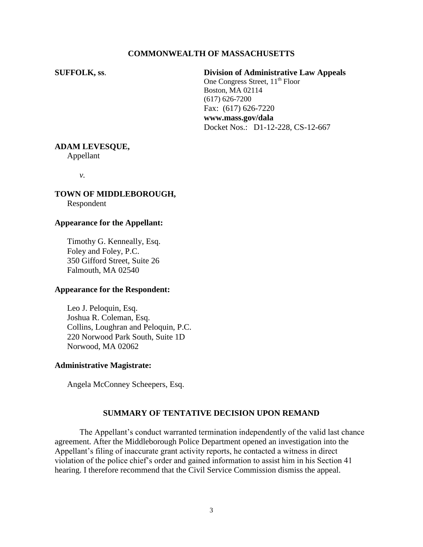# **COMMONWEALTH OF MASSACHUSETTS**

**SUFFOLK, ss**. **Division of Administrative Law Appeals** One Congress Street,  $11^{th}$  Floor Boston, MA 02114 (617) 626-7200 Fax: (617) 626-7220 **www.mass.gov/dala** Docket Nos.: D1-12-228, CS-12-667

#### **ADAM LEVESQUE,**

Appellant

*v.*

# **TOWN OF MIDDLEBOROUGH,**

Respondent

#### **Appearance for the Appellant:**

Timothy G. Kenneally, Esq. Foley and Foley, P.C. 350 Gifford Street, Suite 26 Falmouth, MA 02540

# **Appearance for the Respondent:**

Leo J. Peloquin, Esq. Joshua R. Coleman, Esq. Collins, Loughran and Peloquin, P.C. 220 Norwood Park South, Suite 1D Norwood, MA 02062

#### **Administrative Magistrate:**

Angela McConney Scheepers, Esq.

### **SUMMARY OF TENTATIVE DECISION UPON REMAND**

The Appellant's conduct warranted termination independently of the valid last chance agreement. After the Middleborough Police Department opened an investigation into the Appellant's filing of inaccurate grant activity reports, he contacted a witness in direct violation of the police chief's order and gained information to assist him in his Section 41 hearing. I therefore recommend that the Civil Service Commission dismiss the appeal.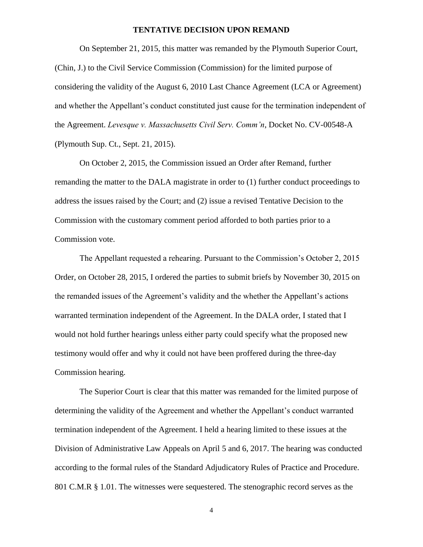#### **TENTATIVE DECISION UPON REMAND**

On September 21, 2015, this matter was remanded by the Plymouth Superior Court, (Chin, J.) to the Civil Service Commission (Commission) for the limited purpose of considering the validity of the August 6, 2010 Last Chance Agreement (LCA or Agreement) and whether the Appellant's conduct constituted just cause for the termination independent of the Agreement. *Levesque v. Massachusetts Civil Serv. Comm'n*, Docket No. CV-00548-A (Plymouth Sup. Ct., Sept. 21, 2015).

On October 2, 2015, the Commission issued an Order after Remand, further remanding the matter to the DALA magistrate in order to (1) further conduct proceedings to address the issues raised by the Court; and (2) issue a revised Tentative Decision to the Commission with the customary comment period afforded to both parties prior to a Commission vote.

The Appellant requested a rehearing. Pursuant to the Commission's October 2, 2015 Order, on October 28, 2015, I ordered the parties to submit briefs by November 30, 2015 on the remanded issues of the Agreement's validity and the whether the Appellant's actions warranted termination independent of the Agreement. In the DALA order, I stated that I would not hold further hearings unless either party could specify what the proposed new testimony would offer and why it could not have been proffered during the three-day Commission hearing.

The Superior Court is clear that this matter was remanded for the limited purpose of determining the validity of the Agreement and whether the Appellant's conduct warranted termination independent of the Agreement. I held a hearing limited to these issues at the Division of Administrative Law Appeals on April 5 and 6, 2017. The hearing was conducted according to the formal rules of the Standard Adjudicatory Rules of Practice and Procedure. 801 C.M.R § 1.01. The witnesses were sequestered. The stenographic record serves as the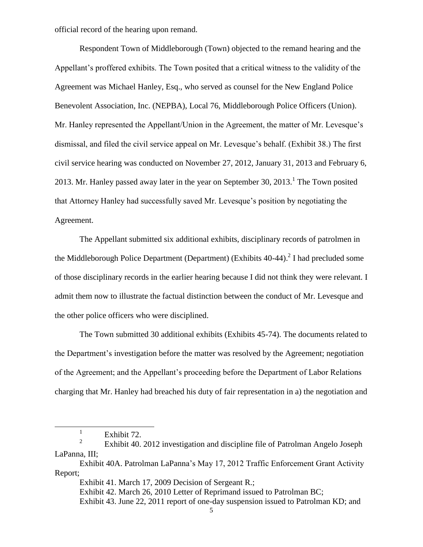official record of the hearing upon remand.

Respondent Town of Middleborough (Town) objected to the remand hearing and the Appellant's proffered exhibits. The Town posited that a critical witness to the validity of the Agreement was Michael Hanley, Esq., who served as counsel for the New England Police Benevolent Association, Inc. (NEPBA), Local 76, Middleborough Police Officers (Union). Mr. Hanley represented the Appellant/Union in the Agreement, the matter of Mr. Levesque's dismissal, and filed the civil service appeal on Mr. Levesque's behalf. (Exhibit 38.) The first civil service hearing was conducted on November 27, 2012, January 31, 2013 and February 6, 2013. Mr. Hanley passed away later in the year on September 30,  $2013$ .<sup>1</sup> The Town posited that Attorney Hanley had successfully saved Mr. Levesque's position by negotiating the Agreement.

The Appellant submitted six additional exhibits, disciplinary records of patrolmen in the Middleborough Police Department (Department) (Exhibits  $40-44$ ).<sup>2</sup> I had precluded some of those disciplinary records in the earlier hearing because I did not think they were relevant. I admit them now to illustrate the factual distinction between the conduct of Mr. Levesque and the other police officers who were disciplined.

The Town submitted 30 additional exhibits (Exhibits 45-74). The documents related to the Department's investigation before the matter was resolved by the Agreement; negotiation of the Agreement; and the Appellant's proceeding before the Department of Labor Relations charging that Mr. Hanley had breached his duty of fair representation in a) the negotiation and

 $\overline{a}$ 

<sup>1</sup> Exhibit 72.

<sup>2</sup> Exhibit 40. 2012 investigation and discipline file of Patrolman Angelo Joseph LaPanna, III;

Exhibit 40A. Patrolman LaPanna's May 17, 2012 Traffic Enforcement Grant Activity Report;

Exhibit 41. March 17, 2009 Decision of Sergeant R.;

Exhibit 42. March 26, 2010 Letter of Reprimand issued to Patrolman BC;

Exhibit 43. June 22, 2011 report of one-day suspension issued to Patrolman KD; and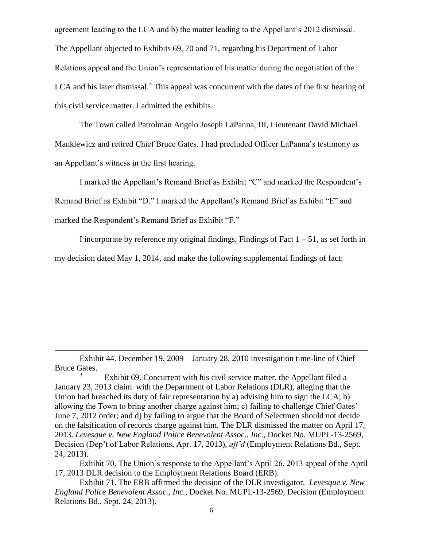agreement leading to the LCA and b) the matter leading to the Appellant's 2012 dismissal. The Appellant objected to Exhibits 69, 70 and 71, regarding his Department of Labor Relations appeal and the Union's representation of his matter during the negotiation of the LCA and his later dismissal.<sup>3</sup> This appeal was concurrent with the dates of the first hearing of this civil service matter. I admitted the exhibits.

The Town called Patrolman Angelo Joseph LaPanna, III, Lieutenant David Michael Mankiewicz and retired Chief Bruce Gates. I had precluded Officer LaPanna's testimony as an Appellant's witness in the first hearing.

I marked the Appellant's Remand Brief as Exhibit "C" and marked the Respondent's Remand Brief as Exhibit "D." I marked the Appellant's Remand Brief as Exhibit "E" and marked the Respondent's Remand Brief as Exhibit "F."

I incorporate by reference my original findings, Findings of Fact  $1 - 51$ , as set forth in my decision dated May 1, 2014, and make the following supplemental findings of fact:

Exhibit 44. December 19, 2009 – January 28, 2010 investigation time-line of Chief Bruce Gates.

 $\overline{a}$ 

<sup>3</sup> Exhibit 69. Concurrent with his civil service matter, the Appellant filed a January 23, 2013 claim with the Department of Labor Relations (DLR), alleging that the Union had breached its duty of fair representation by a) advising him to sign the LCA; b) allowing the Town to bring another charge against him; c) failing to challenge Chief Gates' June 7, 2012 order; and d) by failing to argue that the Board of Selectmen should not decide on the falsification of records charge against him. The DLR dismissed the matter on April 17, 2013. *Levesque v. New England Police Benevolent Assoc., Inc.,* Docket No. MUPL-13-2569, Decision (Dep't of Labor Relations, Apr. 17, 2013), *aff'd* (Employment Relations Bd., Sept. 24, 2013).

Exhibit 70. The Union's response to the Appellant's April 26, 2013 appeal of the April 17, 2013 DLR decision to the Employment Relations Board (ERB).

Exhibit 71. The ERB affirmed the decision of the DLR investigator. *Levesque v. New England Police Benevolent Assoc., Inc.,* Docket No. MUPL-13-2569, Decision (Employment Relations Bd., Sept. 24, 2013).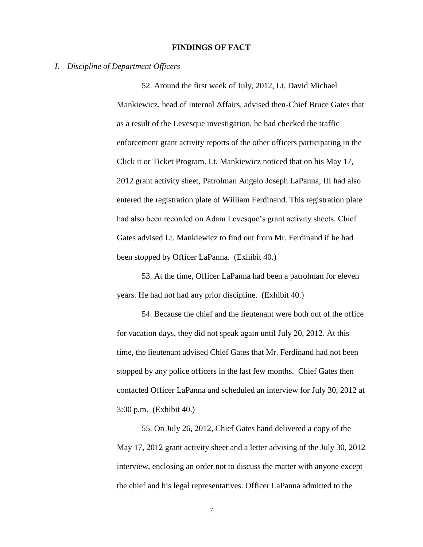#### **FINDINGS OF FACT**

#### *I. Discipline of Department Officers*

52. Around the first week of July, 2012, Lt. David Michael Mankiewicz, head of Internal Affairs, advised then-Chief Bruce Gates that as a result of the Levesque investigation, he had checked the traffic enforcement grant activity reports of the other officers participating in the Click it or Ticket Program. Lt. Mankiewicz noticed that on his May 17, 2012 grant activity sheet, Patrolman Angelo Joseph LaPanna, III had also entered the registration plate of William Ferdinand. This registration plate had also been recorded on Adam Levesque's grant activity sheets. Chief Gates advised Lt. Mankiewicz to find out from Mr. Ferdinand if he had been stopped by Officer LaPanna. (Exhibit 40.)

53. At the time, Officer LaPanna had been a patrolman for eleven years. He had not had any prior discipline. (Exhibit 40.)

54. Because the chief and the lieutenant were both out of the office for vacation days, they did not speak again until July 20, 2012. At this time, the lieutenant advised Chief Gates that Mr. Ferdinand had not been stopped by any police officers in the last few months. Chief Gates then contacted Officer LaPanna and scheduled an interview for July 30, 2012 at 3:00 p.m. (Exhibit 40.)

55. On July 26, 2012, Chief Gates hand delivered a copy of the May 17, 2012 grant activity sheet and a letter advising of the July 30, 2012 interview, enclosing an order not to discuss the matter with anyone except the chief and his legal representatives. Officer LaPanna admitted to the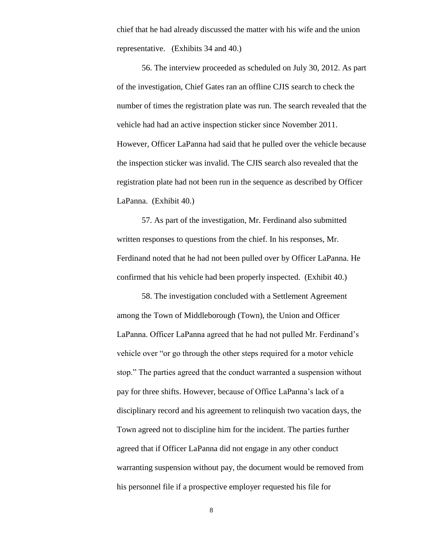chief that he had already discussed the matter with his wife and the union representative. (Exhibits 34 and 40.)

56. The interview proceeded as scheduled on July 30, 2012. As part of the investigation, Chief Gates ran an offline CJIS search to check the number of times the registration plate was run. The search revealed that the vehicle had had an active inspection sticker since November 2011. However, Officer LaPanna had said that he pulled over the vehicle because the inspection sticker was invalid. The CJIS search also revealed that the registration plate had not been run in the sequence as described by Officer LaPanna. (Exhibit 40.)

57. As part of the investigation, Mr. Ferdinand also submitted written responses to questions from the chief. In his responses, Mr. Ferdinand noted that he had not been pulled over by Officer LaPanna. He confirmed that his vehicle had been properly inspected. (Exhibit 40.)

58. The investigation concluded with a Settlement Agreement among the Town of Middleborough (Town), the Union and Officer LaPanna. Officer LaPanna agreed that he had not pulled Mr. Ferdinand's vehicle over "or go through the other steps required for a motor vehicle stop." The parties agreed that the conduct warranted a suspension without pay for three shifts. However, because of Office LaPanna's lack of a disciplinary record and his agreement to relinquish two vacation days, the Town agreed not to discipline him for the incident. The parties further agreed that if Officer LaPanna did not engage in any other conduct warranting suspension without pay, the document would be removed from his personnel file if a prospective employer requested his file for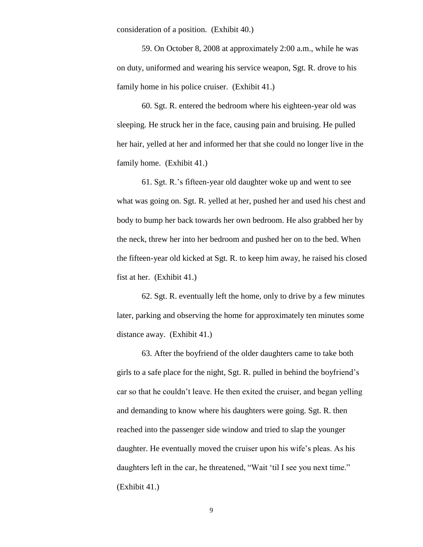consideration of a position. (Exhibit 40.)

59. On October 8, 2008 at approximately 2:00 a.m., while he was on duty, uniformed and wearing his service weapon, Sgt. R. drove to his family home in his police cruiser. (Exhibit 41.)

60. Sgt. R. entered the bedroom where his eighteen-year old was sleeping. He struck her in the face, causing pain and bruising. He pulled her hair, yelled at her and informed her that she could no longer live in the family home. (Exhibit 41.)

61. Sgt. R.'s fifteen-year old daughter woke up and went to see what was going on. Sgt. R. yelled at her, pushed her and used his chest and body to bump her back towards her own bedroom. He also grabbed her by the neck, threw her into her bedroom and pushed her on to the bed. When the fifteen-year old kicked at Sgt. R. to keep him away, he raised his closed fist at her. (Exhibit 41.)

62. Sgt. R. eventually left the home, only to drive by a few minutes later, parking and observing the home for approximately ten minutes some distance away. (Exhibit 41.)

63. After the boyfriend of the older daughters came to take both girls to a safe place for the night, Sgt. R. pulled in behind the boyfriend's car so that he couldn't leave. He then exited the cruiser, and began yelling and demanding to know where his daughters were going. Sgt. R. then reached into the passenger side window and tried to slap the younger daughter. He eventually moved the cruiser upon his wife's pleas. As his daughters left in the car, he threatened, "Wait 'til I see you next time." (Exhibit 41.)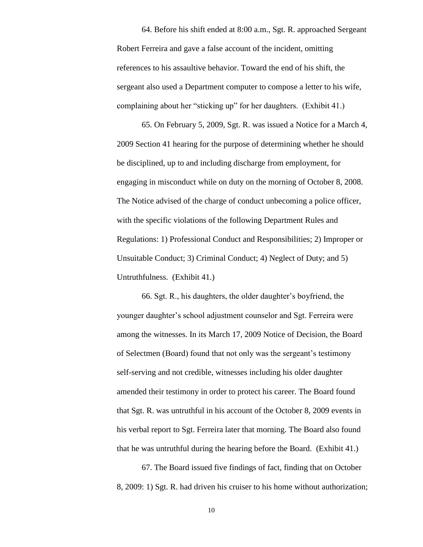64. Before his shift ended at 8:00 a.m., Sgt. R. approached Sergeant Robert Ferreira and gave a false account of the incident, omitting references to his assaultive behavior. Toward the end of his shift, the sergeant also used a Department computer to compose a letter to his wife, complaining about her "sticking up" for her daughters. (Exhibit 41.)

65. On February 5, 2009, Sgt. R. was issued a Notice for a March 4, 2009 Section 41 hearing for the purpose of determining whether he should be disciplined, up to and including discharge from employment, for engaging in misconduct while on duty on the morning of October 8, 2008. The Notice advised of the charge of conduct unbecoming a police officer, with the specific violations of the following Department Rules and Regulations: 1) Professional Conduct and Responsibilities; 2) Improper or Unsuitable Conduct; 3) Criminal Conduct; 4) Neglect of Duty; and 5) Untruthfulness. (Exhibit 41.)

66. Sgt. R., his daughters, the older daughter's boyfriend, the younger daughter's school adjustment counselor and Sgt. Ferreira were among the witnesses. In its March 17, 2009 Notice of Decision, the Board of Selectmen (Board) found that not only was the sergeant's testimony self-serving and not credible, witnesses including his older daughter amended their testimony in order to protect his career. The Board found that Sgt. R. was untruthful in his account of the October 8, 2009 events in his verbal report to Sgt. Ferreira later that morning. The Board also found that he was untruthful during the hearing before the Board. (Exhibit 41.)

67. The Board issued five findings of fact, finding that on October 8, 2009: 1) Sgt. R. had driven his cruiser to his home without authorization;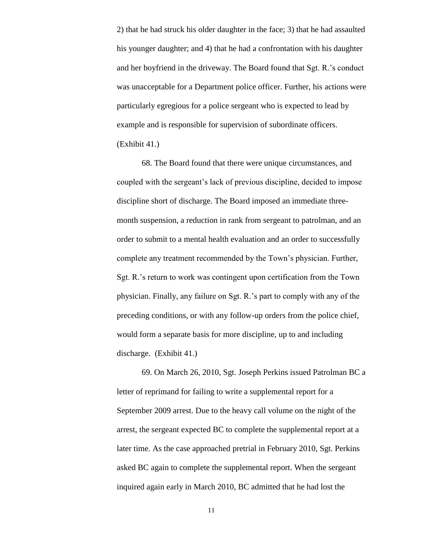2) that he had struck his older daughter in the face; 3) that he had assaulted his younger daughter; and 4) that he had a confrontation with his daughter and her boyfriend in the driveway. The Board found that Sgt. R.'s conduct was unacceptable for a Department police officer. Further, his actions were particularly egregious for a police sergeant who is expected to lead by example and is responsible for supervision of subordinate officers. (Exhibit 41.)

68. The Board found that there were unique circumstances, and coupled with the sergeant's lack of previous discipline, decided to impose discipline short of discharge. The Board imposed an immediate threemonth suspension, a reduction in rank from sergeant to patrolman, and an order to submit to a mental health evaluation and an order to successfully complete any treatment recommended by the Town's physician. Further, Sgt. R.'s return to work was contingent upon certification from the Town physician. Finally, any failure on Sgt. R.'s part to comply with any of the preceding conditions, or with any follow-up orders from the police chief, would form a separate basis for more discipline, up to and including discharge. (Exhibit 41.)

69. On March 26, 2010, Sgt. Joseph Perkins issued Patrolman BC a letter of reprimand for failing to write a supplemental report for a September 2009 arrest. Due to the heavy call volume on the night of the arrest, the sergeant expected BC to complete the supplemental report at a later time. As the case approached pretrial in February 2010, Sgt. Perkins asked BC again to complete the supplemental report. When the sergeant inquired again early in March 2010, BC admitted that he had lost the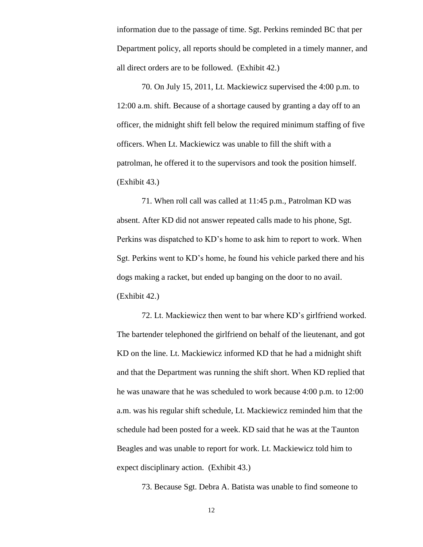information due to the passage of time. Sgt. Perkins reminded BC that per Department policy, all reports should be completed in a timely manner, and all direct orders are to be followed. (Exhibit 42.)

70. On July 15, 2011, Lt. Mackiewicz supervised the 4:00 p.m. to 12:00 a.m. shift. Because of a shortage caused by granting a day off to an officer, the midnight shift fell below the required minimum staffing of five officers. When Lt. Mackiewicz was unable to fill the shift with a patrolman, he offered it to the supervisors and took the position himself. (Exhibit 43.)

71. When roll call was called at 11:45 p.m., Patrolman KD was absent. After KD did not answer repeated calls made to his phone, Sgt. Perkins was dispatched to KD's home to ask him to report to work. When Sgt. Perkins went to KD's home, he found his vehicle parked there and his dogs making a racket, but ended up banging on the door to no avail. (Exhibit 42.)

72. Lt. Mackiewicz then went to bar where KD's girlfriend worked. The bartender telephoned the girlfriend on behalf of the lieutenant, and got KD on the line. Lt. Mackiewicz informed KD that he had a midnight shift and that the Department was running the shift short. When KD replied that he was unaware that he was scheduled to work because 4:00 p.m. to 12:00 a.m. was his regular shift schedule, Lt. Mackiewicz reminded him that the schedule had been posted for a week. KD said that he was at the Taunton Beagles and was unable to report for work. Lt. Mackiewicz told him to expect disciplinary action. (Exhibit 43.)

73. Because Sgt. Debra A. Batista was unable to find someone to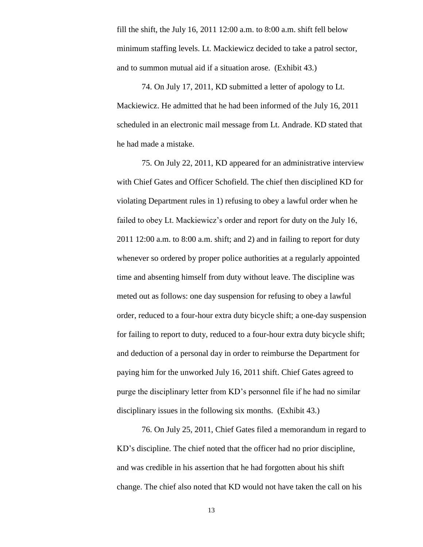fill the shift, the July 16, 2011 12:00 a.m. to 8:00 a.m. shift fell below minimum staffing levels. Lt. Mackiewicz decided to take a patrol sector, and to summon mutual aid if a situation arose. (Exhibit 43.)

74. On July 17, 2011, KD submitted a letter of apology to Lt. Mackiewicz. He admitted that he had been informed of the July 16, 2011 scheduled in an electronic mail message from Lt. Andrade. KD stated that he had made a mistake.

75. On July 22, 2011, KD appeared for an administrative interview with Chief Gates and Officer Schofield. The chief then disciplined KD for violating Department rules in 1) refusing to obey a lawful order when he failed to obey Lt. Mackiewicz's order and report for duty on the July 16, 2011 12:00 a.m. to 8:00 a.m. shift; and 2) and in failing to report for duty whenever so ordered by proper police authorities at a regularly appointed time and absenting himself from duty without leave. The discipline was meted out as follows: one day suspension for refusing to obey a lawful order, reduced to a four-hour extra duty bicycle shift; a one-day suspension for failing to report to duty, reduced to a four-hour extra duty bicycle shift; and deduction of a personal day in order to reimburse the Department for paying him for the unworked July 16, 2011 shift. Chief Gates agreed to purge the disciplinary letter from KD's personnel file if he had no similar disciplinary issues in the following six months. (Exhibit 43.)

76. On July 25, 2011, Chief Gates filed a memorandum in regard to KD's discipline. The chief noted that the officer had no prior discipline, and was credible in his assertion that he had forgotten about his shift change. The chief also noted that KD would not have taken the call on his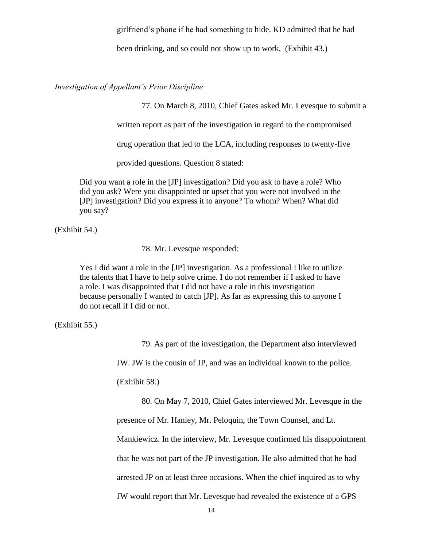girlfriend's phone if he had something to hide. KD admitted that he had

been drinking, and so could not show up to work. (Exhibit 43.)

*Investigation of Appellant's Prior Discipline*

77. On March 8, 2010, Chief Gates asked Mr. Levesque to submit a

written report as part of the investigation in regard to the compromised

drug operation that led to the LCA, including responses to twenty-five

provided questions. Question 8 stated:

Did you want a role in the [JP] investigation? Did you ask to have a role? Who did you ask? Were you disappointed or upset that you were not involved in the [JP] investigation? Did you express it to anyone? To whom? When? What did you say?

(Exhibit 54.)

78. Mr. Levesque responded:

Yes I did want a role in the [JP] investigation. As a professional I like to utilize the talents that I have to help solve crime. I do not remember if I asked to have a role. I was disappointed that I did not have a role in this investigation because personally I wanted to catch [JP]. As far as expressing this to anyone I do not recall if I did or not.

(Exhibit 55.)

79. As part of the investigation, the Department also interviewed

JW. JW is the cousin of JP, and was an individual known to the police.

(Exhibit 58.)

80. On May 7, 2010, Chief Gates interviewed Mr. Levesque in the

presence of Mr. Hanley, Mr. Peloquin, the Town Counsel, and Lt.

Mankiewicz. In the interview, Mr. Levesque confirmed his disappointment

that he was not part of the JP investigation. He also admitted that he had

arrested JP on at least three occasions. When the chief inquired as to why

JW would report that Mr. Levesque had revealed the existence of a GPS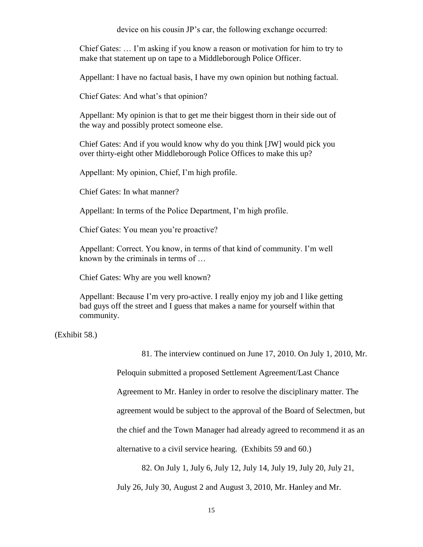device on his cousin JP's car, the following exchange occurred:

Chief Gates: … I'm asking if you know a reason or motivation for him to try to make that statement up on tape to a Middleborough Police Officer.

Appellant: I have no factual basis, I have my own opinion but nothing factual.

Chief Gates: And what's that opinion?

Appellant: My opinion is that to get me their biggest thorn in their side out of the way and possibly protect someone else.

Chief Gates: And if you would know why do you think [JW] would pick you over thirty-eight other Middleborough Police Offices to make this up?

Appellant: My opinion, Chief, I'm high profile.

Chief Gates: In what manner?

Appellant: In terms of the Police Department, I'm high profile.

Chief Gates: You mean you're proactive?

Appellant: Correct. You know, in terms of that kind of community. I'm well known by the criminals in terms of …

Chief Gates: Why are you well known?

Appellant: Because I'm very pro-active. I really enjoy my job and I like getting bad guys off the street and I guess that makes a name for yourself within that community.

(Exhibit 58.)

81. The interview continued on June 17, 2010. On July 1, 2010, Mr.

Peloquin submitted a proposed Settlement Agreement/Last Chance

Agreement to Mr. Hanley in order to resolve the disciplinary matter. The

agreement would be subject to the approval of the Board of Selectmen, but

the chief and the Town Manager had already agreed to recommend it as an

alternative to a civil service hearing. (Exhibits 59 and 60.)

82. On July 1, July 6, July 12, July 14, July 19, July 20, July 21,

July 26, July 30, August 2 and August 3, 2010, Mr. Hanley and Mr.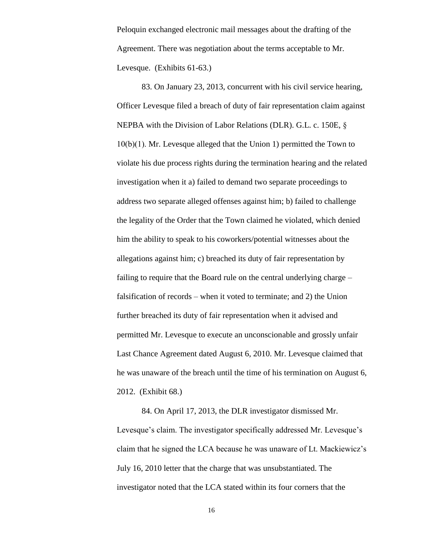Peloquin exchanged electronic mail messages about the drafting of the Agreement. There was negotiation about the terms acceptable to Mr. Levesque. (Exhibits 61-63.)

83. On January 23, 2013, concurrent with his civil service hearing, Officer Levesque filed a breach of duty of fair representation claim against NEPBA with the Division of Labor Relations (DLR). G.L. c. 150E, § 10(b)(1). Mr. Levesque alleged that the Union 1) permitted the Town to violate his due process rights during the termination hearing and the related investigation when it a) failed to demand two separate proceedings to address two separate alleged offenses against him; b) failed to challenge the legality of the Order that the Town claimed he violated, which denied him the ability to speak to his coworkers/potential witnesses about the allegations against him; c) breached its duty of fair representation by failing to require that the Board rule on the central underlying charge – falsification of records – when it voted to terminate; and 2) the Union further breached its duty of fair representation when it advised and permitted Mr. Levesque to execute an unconscionable and grossly unfair Last Chance Agreement dated August 6, 2010. Mr. Levesque claimed that he was unaware of the breach until the time of his termination on August 6, 2012. (Exhibit 68.)

84. On April 17, 2013, the DLR investigator dismissed Mr. Levesque's claim. The investigator specifically addressed Mr. Levesque's claim that he signed the LCA because he was unaware of Lt. Mackiewicz's July 16, 2010 letter that the charge that was unsubstantiated. The investigator noted that the LCA stated within its four corners that the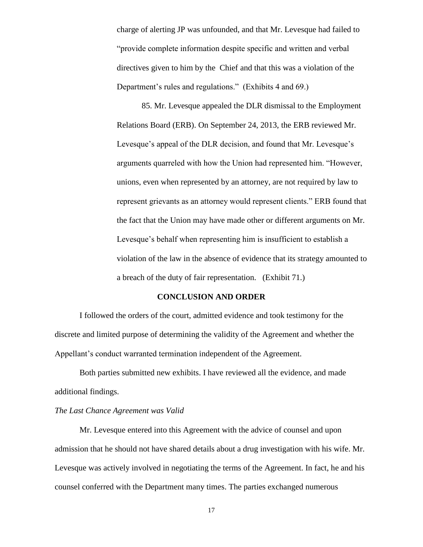charge of alerting JP was unfounded, and that Mr. Levesque had failed to "provide complete information despite specific and written and verbal directives given to him by the Chief and that this was a violation of the Department's rules and regulations." (Exhibits 4 and 69.)

85. Mr. Levesque appealed the DLR dismissal to the Employment Relations Board (ERB). On September 24, 2013, the ERB reviewed Mr. Levesque's appeal of the DLR decision, and found that Mr. Levesque's arguments quarreled with how the Union had represented him. "However, unions, even when represented by an attorney, are not required by law to represent grievants as an attorney would represent clients." ERB found that the fact that the Union may have made other or different arguments on Mr. Levesque's behalf when representing him is insufficient to establish a violation of the law in the absence of evidence that its strategy amounted to a breach of the duty of fair representation. (Exhibit 71.)

# **CONCLUSION AND ORDER**

I followed the orders of the court, admitted evidence and took testimony for the discrete and limited purpose of determining the validity of the Agreement and whether the Appellant's conduct warranted termination independent of the Agreement.

Both parties submitted new exhibits. I have reviewed all the evidence, and made additional findings.

#### *The Last Chance Agreement was Valid*

Mr. Levesque entered into this Agreement with the advice of counsel and upon admission that he should not have shared details about a drug investigation with his wife. Mr. Levesque was actively involved in negotiating the terms of the Agreement. In fact, he and his counsel conferred with the Department many times. The parties exchanged numerous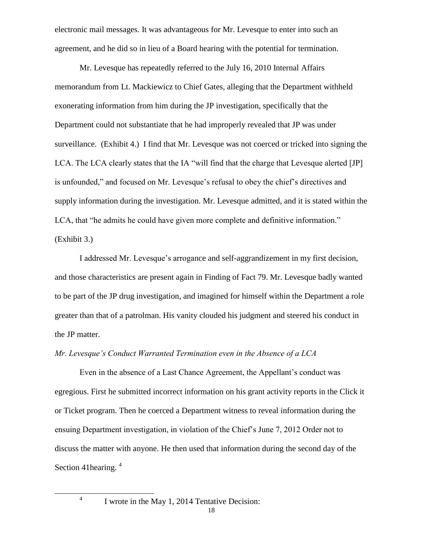electronic mail messages. It was advantageous for Mr. Levesque to enter into such an agreement, and he did so in lieu of a Board hearing with the potential for termination.

Mr. Levesque has repeatedly referred to the July 16, 2010 Internal Affairs memorandum from Lt. Mackiewicz to Chief Gates, alleging that the Department withheld exonerating information from him during the JP investigation, specifically that the Department could not substantiate that he had improperly revealed that JP was under surveillance. (Exhibit 4.) I find that Mr. Levesque was not coerced or tricked into signing the LCA. The LCA clearly states that the IA "will find that the charge that Levesque alerted [JP] is unfounded," and focused on Mr. Levesque's refusal to obey the chief's directives and supply information during the investigation. Mr. Levesque admitted, and it is stated within the LCA, that "he admits he could have given more complete and definitive information." (Exhibit 3.)

I addressed Mr. Levesque's arrogance and self-aggrandizement in my first decision, and those characteristics are present again in Finding of Fact 79. Mr. Levesque badly wanted to be part of the JP drug investigation, and imagined for himself within the Department a role greater than that of a patrolman. His vanity clouded his judgment and steered his conduct in the JP matter.

# *Mr. Levesque's Conduct Warranted Termination even in the Absence of a LCA*

Even in the absence of a Last Chance Agreement, the Appellant's conduct was egregious. First he submitted incorrect information on his grant activity reports in the Click it or Ticket program. Then he coerced a Department witness to reveal information during the ensuing Department investigation, in violation of the Chief's June 7, 2012 Order not to discuss the matter with anyone. He then used that information during the second day of the Section 41 hearing.<sup>4</sup>

4

l

I wrote in the May 1, 2014 Tentative Decision: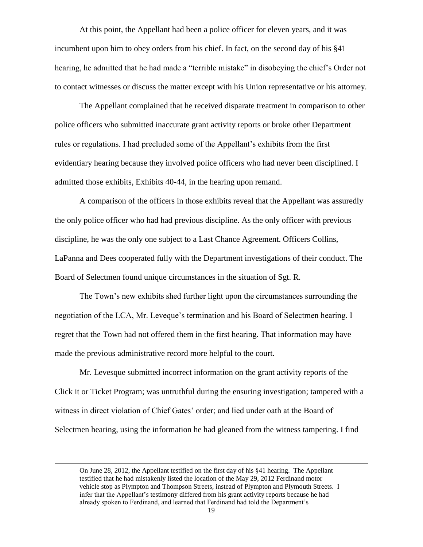At this point, the Appellant had been a police officer for eleven years, and it was incumbent upon him to obey orders from his chief. In fact, on the second day of his §41 hearing, he admitted that he had made a "terrible mistake" in disobeying the chief's Order not to contact witnesses or discuss the matter except with his Union representative or his attorney.

The Appellant complained that he received disparate treatment in comparison to other police officers who submitted inaccurate grant activity reports or broke other Department rules or regulations. I had precluded some of the Appellant's exhibits from the first evidentiary hearing because they involved police officers who had never been disciplined. I admitted those exhibits, Exhibits 40-44, in the hearing upon remand.

A comparison of the officers in those exhibits reveal that the Appellant was assuredly the only police officer who had had previous discipline. As the only officer with previous discipline, he was the only one subject to a Last Chance Agreement. Officers Collins, LaPanna and Dees cooperated fully with the Department investigations of their conduct. The Board of Selectmen found unique circumstances in the situation of Sgt. R.

The Town's new exhibits shed further light upon the circumstances surrounding the negotiation of the LCA, Mr. Leveque's termination and his Board of Selectmen hearing. I regret that the Town had not offered them in the first hearing. That information may have made the previous administrative record more helpful to the court.

Mr. Levesque submitted incorrect information on the grant activity reports of the Click it or Ticket Program; was untruthful during the ensuring investigation; tampered with a witness in direct violation of Chief Gates' order; and lied under oath at the Board of Selectmen hearing, using the information he had gleaned from the witness tampering. I find

 $\overline{a}$ 

On June 28, 2012, the Appellant testified on the first day of his §41 hearing. The Appellant testified that he had mistakenly listed the location of the May 29, 2012 Ferdinand motor vehicle stop as Plympton and Thompson Streets, instead of Plympton and Plymouth Streets. I infer that the Appellant's testimony differed from his grant activity reports because he had already spoken to Ferdinand, and learned that Ferdinand had told the Department's